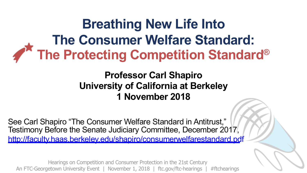**Breathing New Life Into The Consumer Welfare Standard: The Protecting Competition Standard®**

#### **Professor Carl Shapiro University of California at Berkeley 1 November 2018**

See Carl Shapiro "The Consumer Welfare Standard in Antitrust," Testimony Before the Senate Judiciary Committee, December 2017, <http://faculty.haas.berkeley.edu/shapiro/consumerwelfarestandard.pdf>

Hearings on Competition and Consumer Protection in the 21st Century An FTC-Georgetown University Event | November 1, 2018 | ftc.gov/ftc-hearings | #ftchearings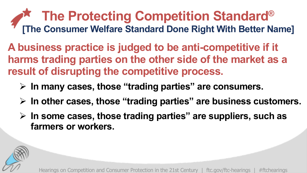### **The Protecting Competition Standard® [The Consumer Welfare Standard Done Right With Better Name]**

**A business practice is judged to be anti-competitive if it harms trading parties on the other side of the market as a result of disrupting the competitive process.**

- Ø **In many cases, those "trading parties" are consumers.**
- Ø **In other cases, those "trading parties" are business customers.**
- Ø **In some cases, those trading parties" are suppliers, such as farmers or workers.**

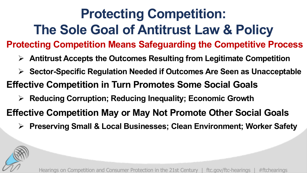# **Protecting Competition: The Sole Goal of Antitrust Law & Policy**

**Protecting Competition Means Safeguarding the Competitive Process**

- Ø **Antitrust Accepts the Outcomes Resulting from Legitimate Competition**
- Ø **Sector-Specific Regulation Needed if Outcomes Are Seen as Unacceptable**
- **Effective Competition in Turn Promotes Some Social Goals**
	- Ø **Reducing Corruption; Reducing Inequality; Economic Growth**
- **Effective Competition May or May Not Promote Other Social Goals**
	- Ø **Preserving Small & Local Businesses; Clean Environment; Worker Safety**

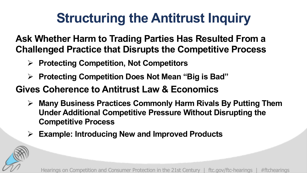### **Structuring the Antitrust Inquiry**

**Ask Whether Harm to Trading Parties Has Resulted From a Challenged Practice that Disrupts the Competitive Process**

- Ø **Protecting Competition, Not Competitors**
- Ø **Protecting Competition Does Not Mean "Big is Bad"**

#### **Gives Coherence to Antitrust Law & Economics**

- Ø **Many Business Practices Commonly Harm Rivals By Putting Them Under Additional Competitive Pressure Without Disrupting the Competitive Process**
- Ø **Example: Introducing New and Improved Products**

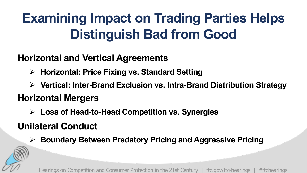# **Examining Impact on Trading Parties Helps Distinguish Bad from Good**

#### **Horizontal and Vertical Agreements**

- Ø **Horizontal: Price Fixing vs. Standard Setting**
- Ø **Vertical: Inter-Brand Exclusion vs. Intra-Brand Distribution Strategy**

### **Horizontal Mergers**

Ø **Loss of Head-to-Head Competition vs. Synergies**

### **Unilateral Conduct**

Ø **Boundary Between Predatory Pricing and Aggressive Pricing**

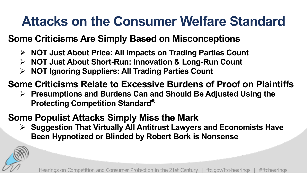### **Attacks on the Consumer Welfare Standard**

#### **Some Criticisms Are Simply Based on Misconceptions**

- Ø **NOT Just About Price: All Impacts on Trading Parties Count**
- Ø **NOT Just About Short-Run: Innovation & Long-Run Count**
- Ø **NOT Ignoring Suppliers: All Trading Parties Count**

#### **Some Criticisms Relate to Excessive Burdens of Proof on Plaintiffs**

Ø **Presumptions and Burdens Can and Should Be Adjusted Using the Protecting Competition Standard®**

#### **Some Populist Attacks Simply Miss the Mark**

Ø **Suggestion That Virtually All Antitrust Lawyers and Economists Have Been Hypnotized or Blinded by Robert Bork is Nonsense** 

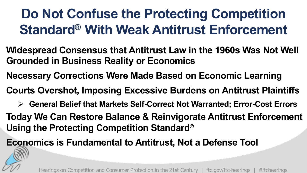### **Do Not Confuse the Protecting Competition Standard® With Weak Antitrust Enforcement**

- **Widespread Consensus that Antitrust Law in the 1960s Was Not Well Grounded in Business Reality or Economics**
- **Necessary Corrections Were Made Based on Economic Learning**
- **Courts Overshot, Imposing Excessive Burdens on Antitrust Plaintiffs**
	- Ø **General Belief that Markets Self-Correct Not Warranted; Error-Cost Errors**
- **Today We Can Restore Balance & Reinvigorate Antitrust Enforcement Using the Protecting Competition Standard®**

**Economics is Fundamental to Antitrust, Not a Defense Tool**

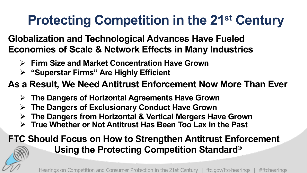## **Protecting Competition in the 21st Century**

#### **Globalization and Technological Advances Have Fueled Economies of Scale & Network Effects in Many Industries**

- Ø **Firm Size and Market Concentration Have Grown**
- Ø **"Superstar Firms" Are Highly Efficient**

#### **As a Result, We Need Antitrust Enforcement Now More Than Ever**

- Ø **The Dangers of Horizontal Agreements Have Grown**
- Ø **The Dangers of Exclusionary Conduct Have Grown**
- Ø **The Dangers from Horizontal & Vertical Mergers Have Grown**
- Ø **True Whether or Not Antitrust Has Been Too Lax in the Past**

#### **FTC Should Focus on How to Strengthen Antitrust Enforcement Using the Protecting Competition Standard®**